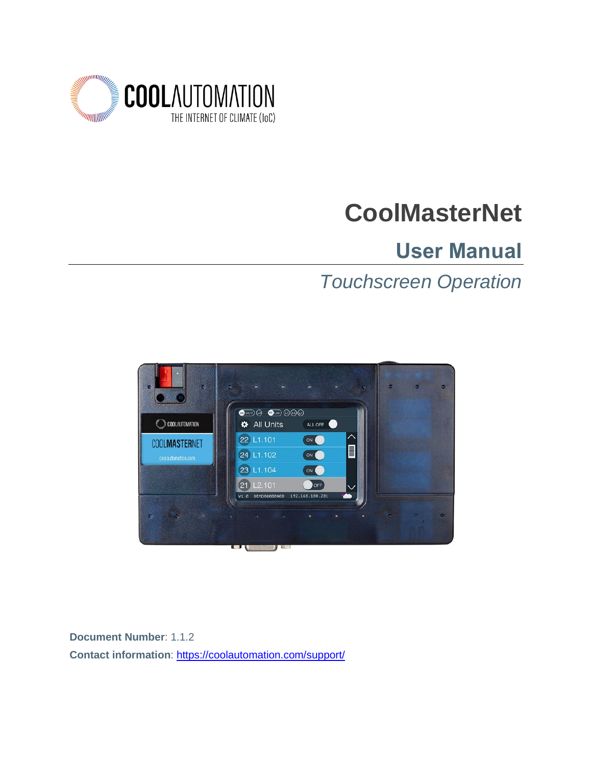

# **CoolMasterNet**

## **User Manual**

## *Touchscreen Operation*



**Document Number**: 1.1.2 **Contact information**: <https://coolautomation.com/support/>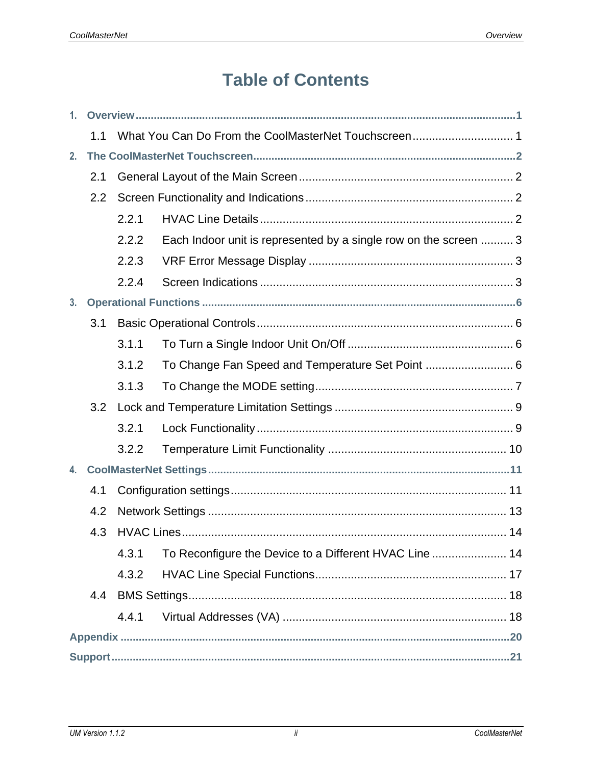## **Table of Contents**

| 1 <sub>1</sub> |     |       |                                                                  |  |
|----------------|-----|-------|------------------------------------------------------------------|--|
|                | 1.1 |       | What You Can Do From the CoolMasterNet Touchscreen 1             |  |
| 2 <sub>1</sub> |     |       |                                                                  |  |
| 2.1            |     |       |                                                                  |  |
|                | 2.2 |       |                                                                  |  |
|                |     | 2.2.1 |                                                                  |  |
|                |     | 2.2.2 | Each Indoor unit is represented by a single row on the screen  3 |  |
|                |     | 2.2.3 |                                                                  |  |
|                |     | 2.2.4 |                                                                  |  |
| 3 <sub>1</sub> |     |       |                                                                  |  |
|                | 3.1 |       |                                                                  |  |
|                |     | 3.1.1 |                                                                  |  |
|                |     | 3.1.2 | To Change Fan Speed and Temperature Set Point  6                 |  |
|                |     | 3.1.3 |                                                                  |  |
|                | 3.2 |       |                                                                  |  |
|                |     | 3.2.1 |                                                                  |  |
|                |     | 3.2.2 |                                                                  |  |
| 4.             |     |       |                                                                  |  |
|                | 4.1 |       |                                                                  |  |
|                | 4.2 |       |                                                                  |  |
|                | 4.3 |       |                                                                  |  |
|                |     | 4.3.1 |                                                                  |  |
|                |     | 4.3.2 |                                                                  |  |
|                | 4.4 |       |                                                                  |  |
|                |     | 4.4.1 |                                                                  |  |
|                |     |       |                                                                  |  |
|                |     |       |                                                                  |  |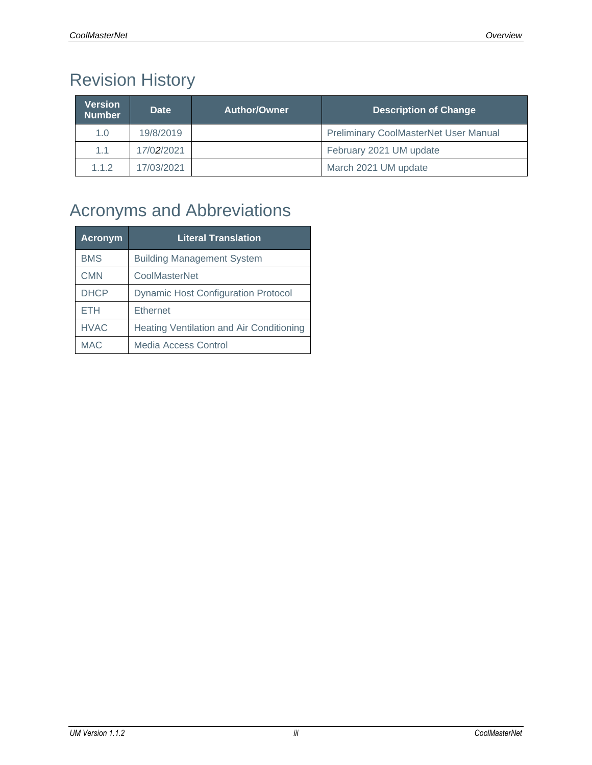## Revision History

| <b>Version</b><br><b>Number</b> | Date       | Author/Owner | <b>Description of Change</b>                 |
|---------------------------------|------------|--------------|----------------------------------------------|
| 1.0                             | 19/8/2019  |              | <b>Preliminary CoolMasterNet User Manual</b> |
| 1.1                             | 17/02/2021 |              | February 2021 UM update                      |
| 1.1.2                           | 17/03/2021 |              | March 2021 UM update                         |

## Acronyms and Abbreviations

| <b>Acronym</b> | <b>Literal Translation</b>                      |
|----------------|-------------------------------------------------|
| <b>BMS</b>     | <b>Building Management System</b>               |
| <b>CMN</b>     | CoolMasterNet                                   |
| <b>DHCP</b>    | <b>Dynamic Host Configuration Protocol</b>      |
| ETH            | <b>Ethernet</b>                                 |
| <b>HVAC</b>    | <b>Heating Ventilation and Air Conditioning</b> |
| <b>MAC</b>     | Media Access Control                            |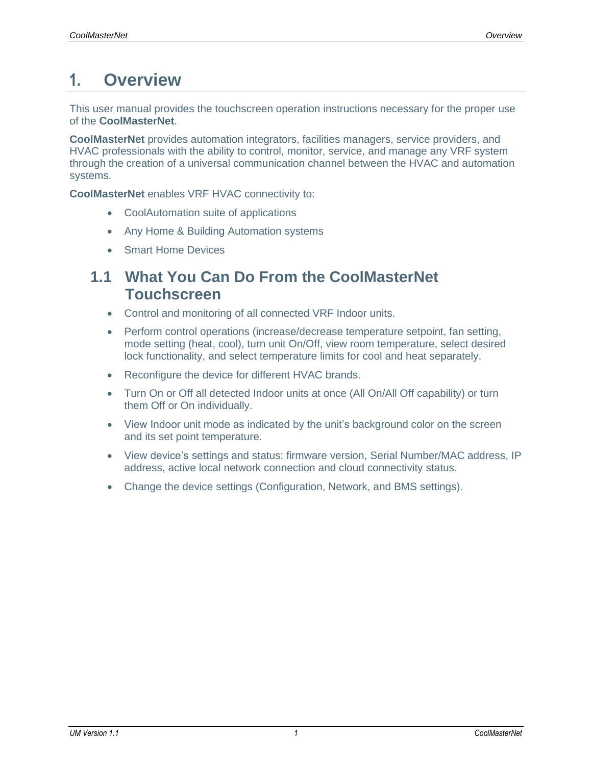### <span id="page-3-0"></span>**1. Overview**

This user manual provides the touchscreen operation instructions necessary for the proper use of the **CoolMasterNet**.

**CoolMasterNet** provides automation integrators, facilities managers, service providers, and HVAC professionals with the ability to control, monitor, service, and manage any VRF system through the creation of a universal communication channel between the HVAC and automation systems.

**CoolMasterNet** enables VRF HVAC connectivity to:

- CoolAutomation suite of applications
- Any Home & Building Automation systems
- Smart Home Devices

### <span id="page-3-1"></span>**1.1 What You Can Do From the CoolMasterNet Touchscreen**

- Control and monitoring of all connected VRF Indoor units.
- Perform control operations (increase/decrease temperature setpoint, fan setting, mode setting (heat, cool), turn unit On/Off, view room temperature, select desired lock functionality, and select temperature limits for cool and heat separately.
- Reconfigure the device for different HVAC brands.
- Turn On or Off all detected Indoor units at once (All On/All Off capability) or turn them Off or On individually.
- View Indoor unit mode as indicated by the unit's background color on the screen and its set point temperature.
- View device's settings and status: firmware version, Serial Number/MAC address, IP address, active local network connection and cloud connectivity status.
- Change the device settings (Configuration, Network, and BMS settings).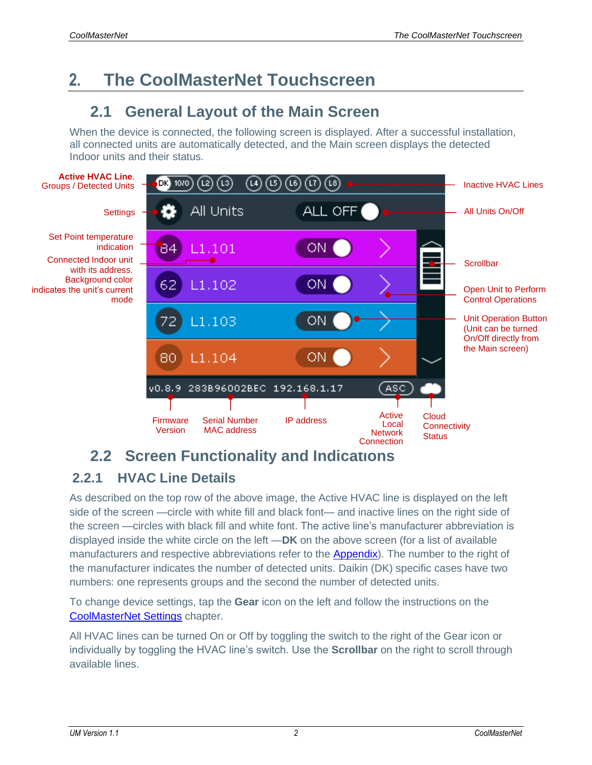## <span id="page-4-0"></span>**2. The CoolMasterNet Touchscreen**

### <span id="page-4-1"></span>**2.1 General Layout of the Main Screen**

When the device is connected, the following screen is displayed. After a successful installation, all connected units are automatically detected, and the Main screen displays the detected Indoor units and their status.



### <span id="page-4-2"></span>**2.2 Screen Functionality and Indications**

### <span id="page-4-3"></span>**2.2.1 HVAC Line Details**

As described on the top row of the above image, the Active HVAC line is displayed on the left side of the screen —circle with white fill and black font— and inactive lines on the right side of the screen —circles with black fill and white font. The active line's manufacturer abbreviation is displayed inside the white circle on the left —**DK** on the above screen (for a list of available manufacturers and respective abbreviations refer to the [Appendix\)](#page-22-0). The number to the right of the manufacturer indicates the number of detected units. Daikin (DK) specific cases have two numbers: one represents groups and the second the number of detected units.

To change device settings, tap the **Gear** icon on the left and follow the instructions on the [CoolMasterNet Settings](#page-13-0) chapter.

All HVAC lines can be turned On or Off by toggling the switch to the right of the Gear icon or individually by toggling the HVAC line's switch. Use the **Scrollbar** on the right to scroll through available lines.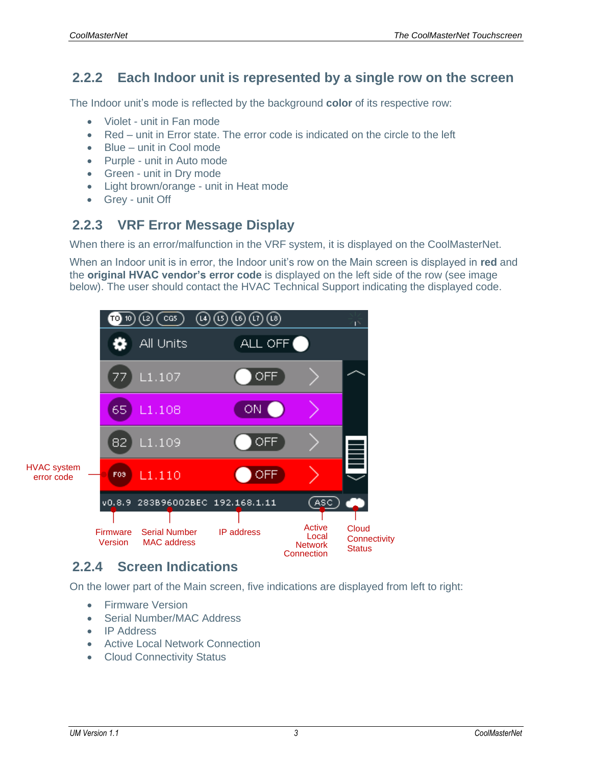#### <span id="page-5-0"></span>**2.2.2 Each Indoor unit is represented by a single row on the screen**

The Indoor unit's mode is reflected by the background **color** of its respective row:

- Violet unit in Fan mode
- Red unit in Error state. The error code is indicated on the circle to the left
- Blue unit in Cool mode
- Purple unit in Auto mode
- Green unit in Dry mode
- Light brown/orange unit in Heat mode
- Grey unit Off

#### <span id="page-5-1"></span>**2.2.3 VRF Error Message Display**

When there is an error/malfunction in the VRF system, it is displayed on the CoolMasterNet.

When an Indoor unit is in error, the Indoor unit's row on the Main screen is displayed in **red** and the **original HVAC vendor's error code** is displayed on the left side of the row (see image below). The user should contact the HVAC Technical Support indicating the displayed code.



#### <span id="page-5-2"></span>**2.2.4 Screen Indications**

On the lower part of the Main screen, five indications are displayed from left to right:

- Firmware Version
- Serial Number/MAC Address
- IP Address
- Active Local Network Connection
- Cloud Connectivity Status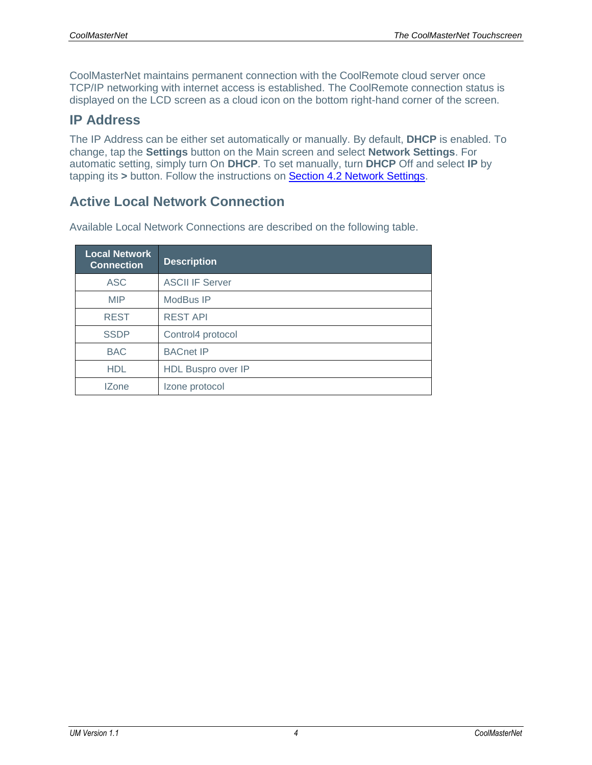CoolMasterNet maintains permanent connection with the CoolRemote cloud server once TCP/IP networking with internet access is established. The CoolRemote connection status is displayed on the LCD screen as a cloud icon on the bottom right-hand corner of the screen.

#### **IP Address**

The IP Address can be either set automatically or manually. By default, **DHCP** is enabled. To change, tap the **Settings** button on the Main screen and select **Network Settings**. For automatic setting, simply turn On **DHCP**. To set manually, turn **DHCP** Off and select **IP** by tapping its **>** button. Follow the instructions on [Section 4.2 Network Settings.](#page-15-0)

#### **Active Local Network Connection**

| <b>Local Network</b><br><b>Connection</b> | <b>Description</b>     |
|-------------------------------------------|------------------------|
| <b>ASC</b>                                | <b>ASCII IF Server</b> |
| <b>MIP</b>                                | ModBus IP              |
| <b>REST</b>                               | <b>REST API</b>        |
| <b>SSDP</b>                               | Control4 protocol      |
| <b>BAC</b>                                | <b>BACnet IP</b>       |
| <b>HDL</b>                                | HDL Buspro over IP     |
| <b>IZone</b>                              | Izone protocol         |

Available Local Network Connections are described on the following table.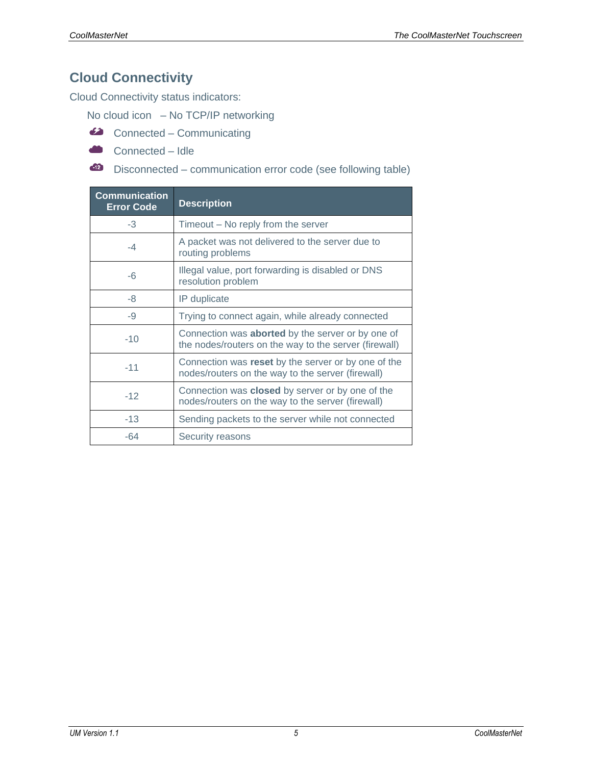### **Cloud Connectivity**

Cloud Connectivity status indicators:

No cloud icon – No TCP/IP networking

- Connected Communicating
- Connected Idle
- Disconnected communication error code (see following table)

| <b>Communication</b><br><b>Error Code</b> | <b>Description</b>                                                                                                |
|-------------------------------------------|-------------------------------------------------------------------------------------------------------------------|
| $-3$                                      | Timeout – No reply from the server                                                                                |
| $-4$                                      | A packet was not delivered to the server due to<br>routing problems                                               |
| -6                                        | Illegal value, port forwarding is disabled or DNS<br>resolution problem                                           |
| -8                                        | IP duplicate                                                                                                      |
| -9                                        | Trying to connect again, while already connected                                                                  |
| $-10$                                     | Connection was <b>aborted</b> by the server or by one of<br>the nodes/routers on the way to the server (firewall) |
| $-11$                                     | Connection was reset by the server or by one of the<br>nodes/routers on the way to the server (firewall)          |
| $-12$                                     | Connection was closed by server or by one of the<br>nodes/routers on the way to the server (firewall)             |
| $-13$                                     | Sending packets to the server while not connected                                                                 |
| -64                                       | Security reasons                                                                                                  |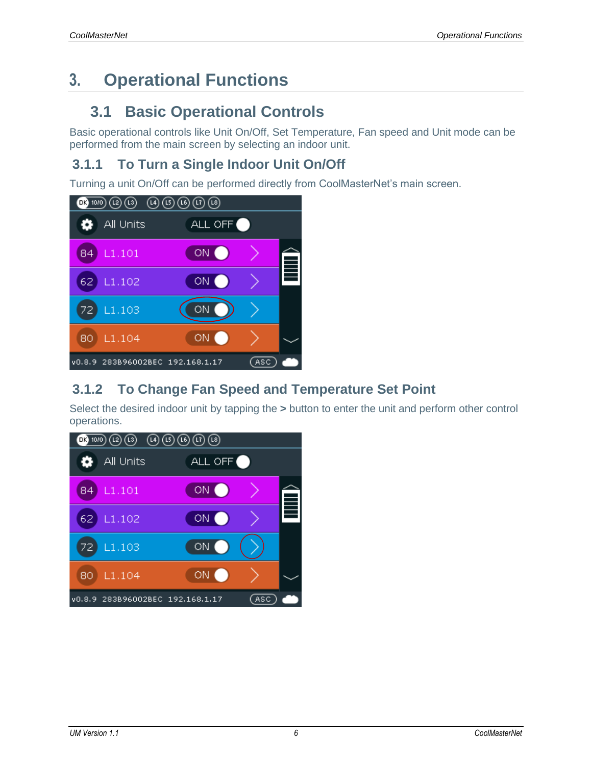## <span id="page-8-0"></span>**3. Operational Functions**

### <span id="page-8-1"></span>**3.1 Basic Operational Controls**

Basic operational controls like Unit On/Off, Set Temperature, Fan speed and Unit mode can be performed from the main screen by selecting an indoor unit.

### <span id="page-8-2"></span>**3.1.1 To Turn a Single Indoor Unit On/Off**

Turning a unit On/Off can be performed directly from CoolMasterNet's main screen.



#### <span id="page-8-3"></span>**3.1.2 To Change Fan Speed and Temperature Set Point**

Select the desired indoor unit by tapping the **>** button to enter the unit and perform other control operations.

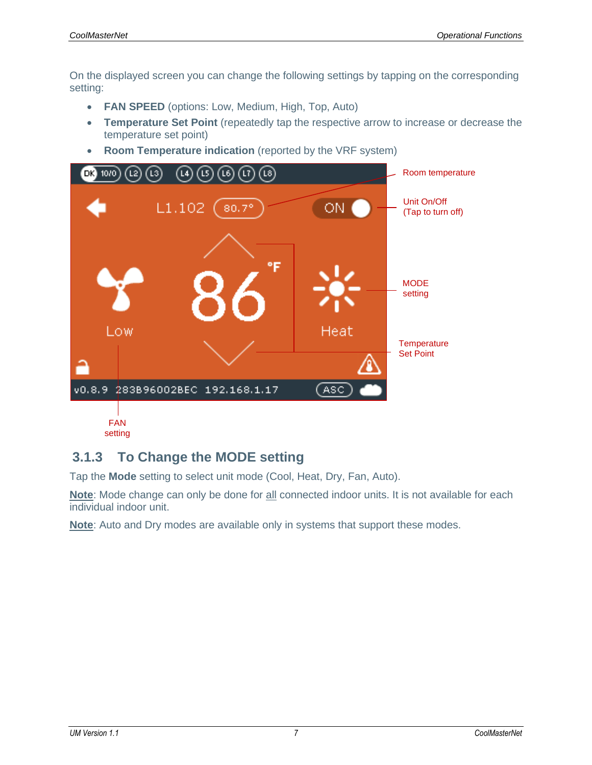On the displayed screen you can change the following settings by tapping on the corresponding setting:

- **FAN SPEED** (options: Low, Medium, High, Top, Auto)
- **Temperature Set Point** (repeatedly tap the respective arrow to increase or decrease the temperature set point)
- **Room Temperature indication** (reported by the VRF system)



#### <span id="page-9-0"></span>**3.1.3 To Change the MODE setting**

Tap the **Mode** setting to select unit mode (Cool, Heat, Dry, Fan, Auto).

Note: Mode change can only be done for **all connected indoor units. It is not available for each** individual indoor unit.

**Note**: Auto and Dry modes are available only in systems that support these modes.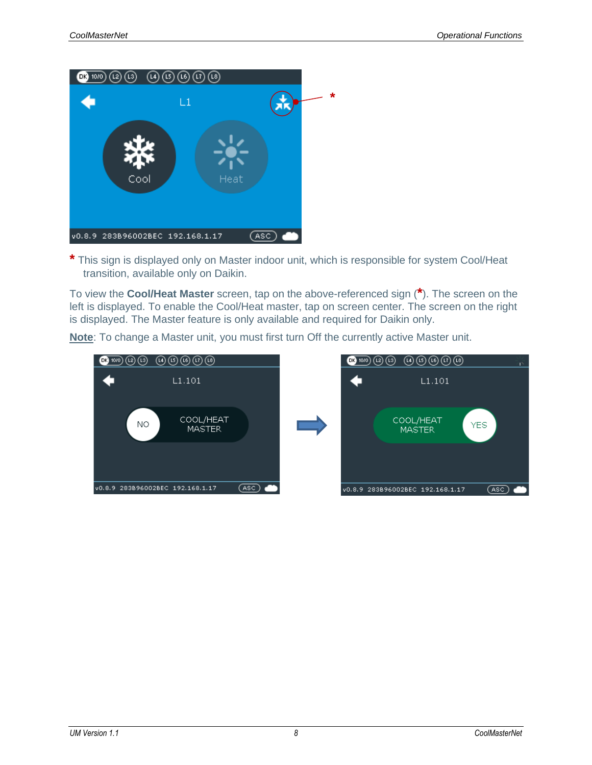

**\*** This sign is displayed only on Master indoor unit, which is responsible for system Cool/Heat transition, available only on Daikin.

To view the **Cool/Heat Master** screen, tap on the above-referenced sign (**\***). The screen on the left is displayed. To enable the Cool/Heat master, tap on screen center. The screen on the right is displayed. The Master feature is only available and required for Daikin only.

 $\blacksquare$  $L1.101$  $L1.101$ COOL/HEAT COOL/HEAT NO. YES. **MASTER MASTER** v0.8.9 283B96002BEC 192.168.1.17  $($ ASC $)$ v0.8.9 283B96002BEC 192.168.1.17 (ASC)

**Note**: To change a Master unit, you must first turn Off the currently active Master unit.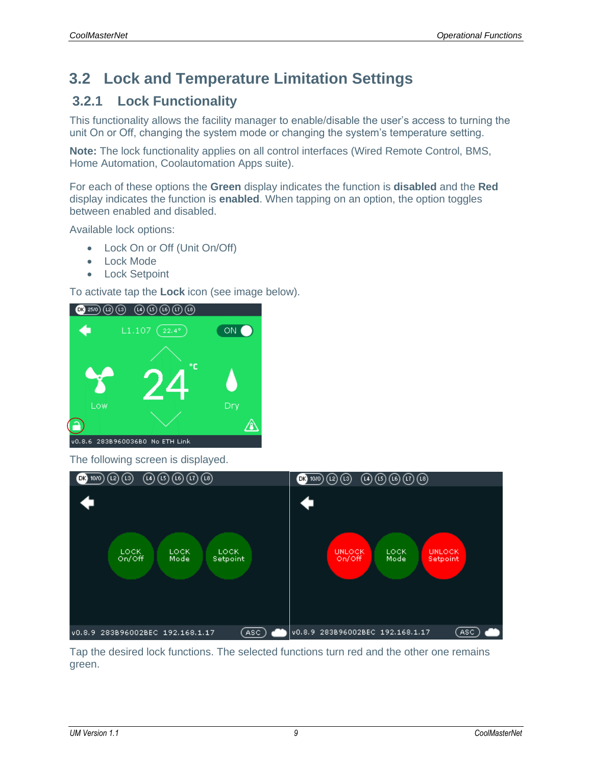### <span id="page-11-0"></span>**3.2 Lock and Temperature Limitation Settings**

#### <span id="page-11-1"></span>**3.2.1 Lock Functionality**

This functionality allows the facility manager to enable/disable the user's access to turning the unit On or Off, changing the system mode or changing the system's temperature setting.

**Note:** The lock functionality applies on all control interfaces (Wired Remote Control, BMS, Home Automation, Coolautomation Apps suite).

For each of these options the **Green** display indicates the function is **disabled** and the **Red** display indicates the function is **enabled**. When tapping on an option, the option toggles between enabled and disabled.

Available lock options:

- Lock On or Off (Unit On/Off)
- Lock Mode
- Lock Setpoint

To activate tap the **Lock** icon (see image below).



The following screen is displayed.



Tap the desired lock functions. The selected functions turn red and the other one remains green.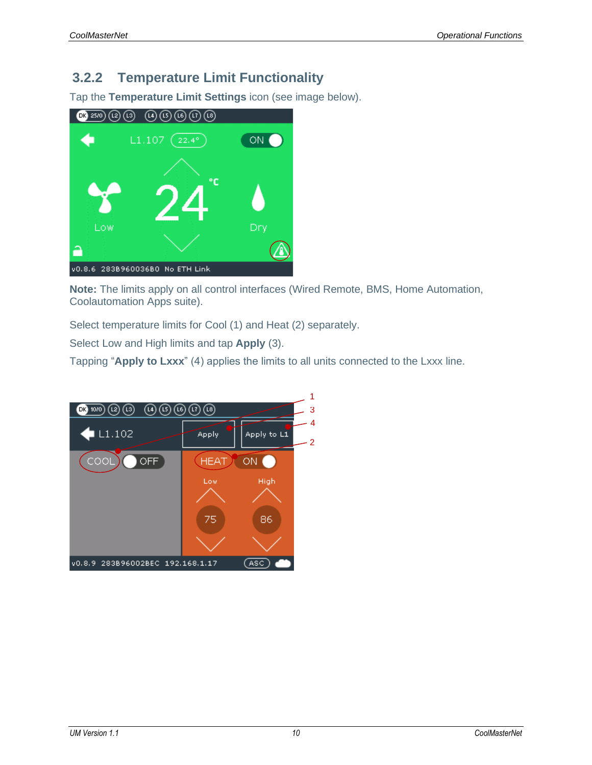#### <span id="page-12-0"></span>**3.2.2 Temperature Limit Functionality**

Tap the **Temperature Limit Settings** icon (see image below).



**Note:** The limits apply on all control interfaces (Wired Remote, BMS, Home Automation, Coolautomation Apps suite).

Select temperature limits for Cool (1) and Heat (2) separately.

Select Low and High limits and tap **Apply** (3).

Tapping "**Apply to Lxxx**" (4) applies the limits to all units connected to the Lxxx line.

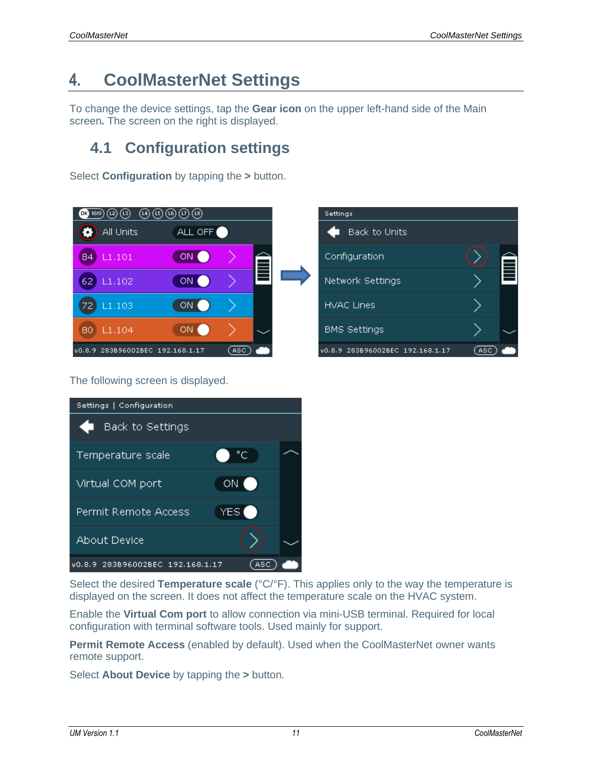## <span id="page-13-0"></span>**4. CoolMasterNet Settings**

To change the device settings, tap the **Gear icon** on the upper left-hand side of the Main screen*.* The screen on the right is displayed.

### <span id="page-13-1"></span>**4.1 Configuration settings**

Select **Configuration** by tapping the **>** button.



The following screen is displayed.



<span id="page-13-2"></span>

Select the desired **Temperature scale** (°C/°F). This applies only to the way the temperature is displayed on the screen. It does not affect the temperature scale on the HVAC system.

Enable the **Virtual Com port** to allow connection via mini-USB terminal. Required for local configuration with terminal software tools. Used mainly for support.

**Permit Remote Access** (enabled by default). Used when the CoolMasterNet owner wants remote support.

Select **About Device** by tapping the **>** button.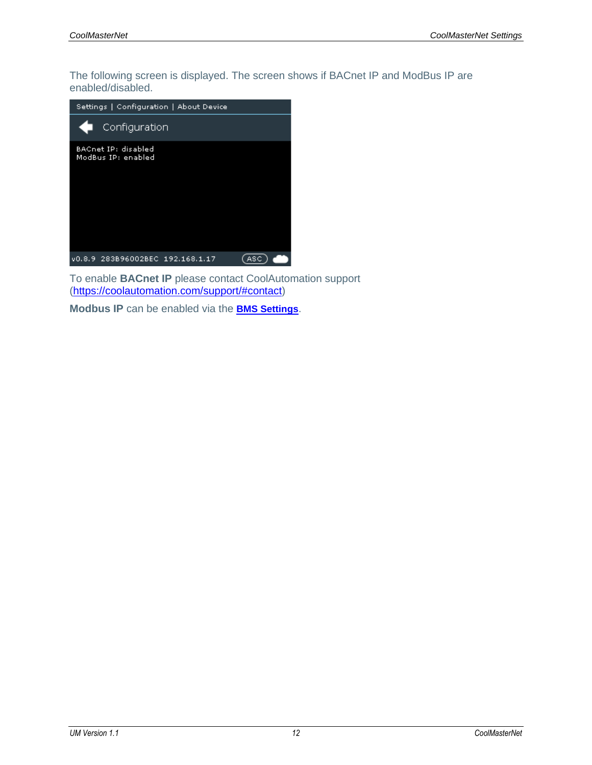The following screen is displayed. The screen shows if BACnet IP and ModBus IP are enabled/disabled.



To enable **BACnet IP** please contact CoolAutomation support [\(https://coolautomation.com/support/#contact\)](https://coolautomation.com/support/#contact)

**Modbus IP** can be enabled via the **[BMS Settings](#page-13-2)**.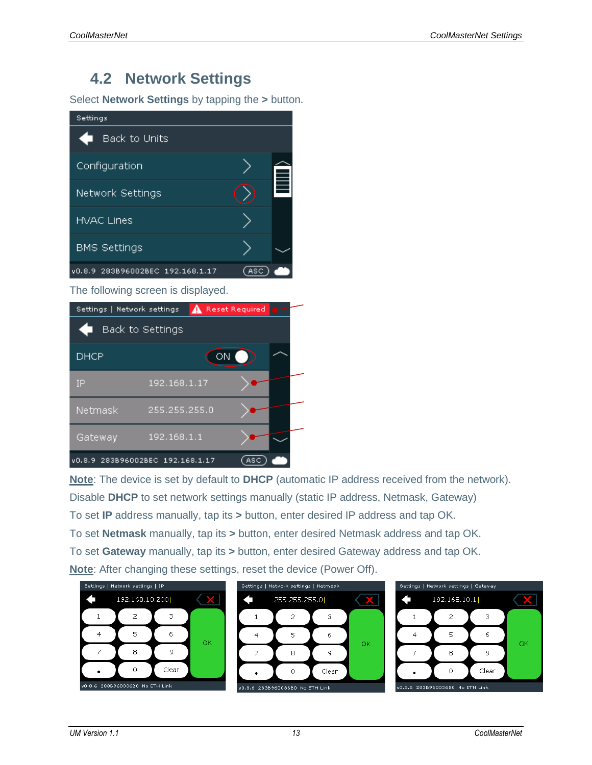### <span id="page-15-0"></span>**4.2 Network Settings**

Select **Network Settings** by tapping the **>** button.



The following screen is displayed.



**Note**: The device is set by default to **DHCP** (automatic IP address received from the network). Disable **DHCP** to set network settings manually (static IP address, Netmask, Gateway) To set **IP** address manually, tap its **>** button, enter desired IP address and tap OK. To set **Netmask** manually, tap its **>** button, enter desired Netmask address and tap OK. To set **Gateway** manually, tap its **>** button, enter desired Gateway address and tap OK. **Note**: After changing these settings, reset the device (Power Off).

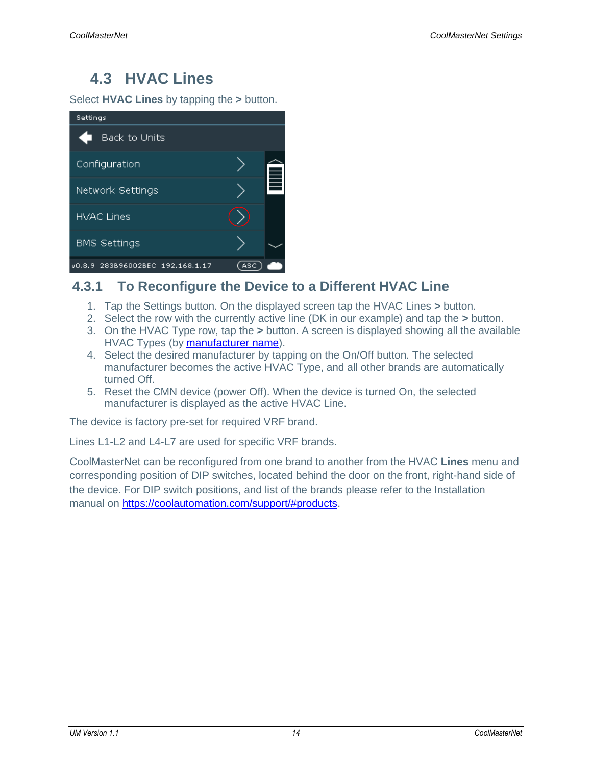### <span id="page-16-0"></span>**4.3 HVAC Lines**

Select **HVAC Lines** by tapping the **>** button.



#### <span id="page-16-1"></span>**4.3.1 To Reconfigure the Device to a Different HVAC Line**

- 1. Tap the Settings button. On the displayed screen tap the HVAC Lines **>** button.
- 2. Select the row with the currently active line (DK in our example) and tap the **>** button.
- 3. On the HVAC Type row, tap the **>** button. A screen is displayed showing all the available HVAC Types (by [manufacturer name\)](#page-22-0).
- 4. Select the desired manufacturer by tapping on the On/Off button. The selected manufacturer becomes the active HVAC Type, and all other brands are automatically turned Off.
- 5. Reset the CMN device (power Off). When the device is turned On, the selected manufacturer is displayed as the active HVAC Line.

The device is factory pre-set for required VRF brand.

Lines L1-L2 and L4-L7 are used for specific VRF brands.

CoolMasterNet can be reconfigured from one brand to another from the HVAC **Lines** menu and corresponding position of DIP switches, located behind the door on the front, right-hand side of the device. For DIP switch positions, and list of the brands please refer to the Installation manual on [https://coolautomation.com/support/#products.](https://coolautomation.com/support/%23products)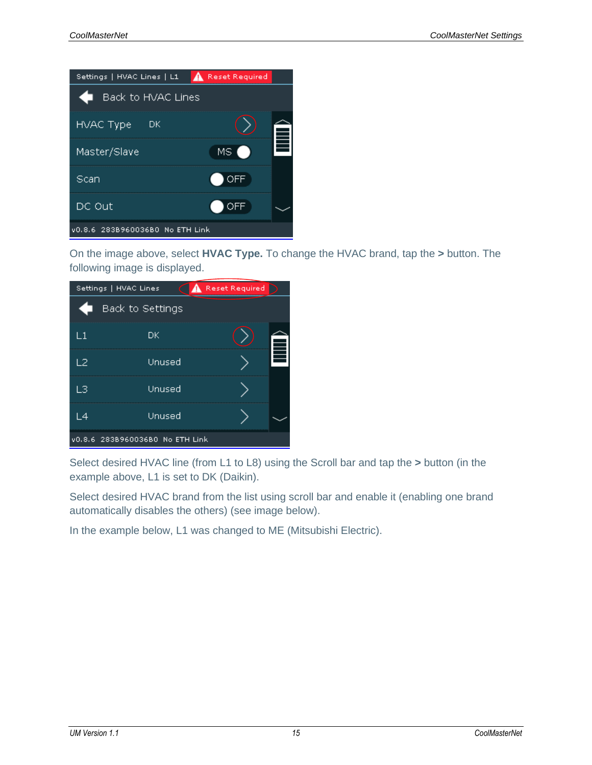

On the image above, select **HVAC Type.** To change the HVAC brand, tap the **>** button. The following image is displayed.

| Reset Required<br>Settings   HVAC Lines |                                 |  |   |
|-----------------------------------------|---------------------------------|--|---|
|                                         | Back to Settings                |  |   |
| $\mathsf{L}1$                           | DK                              |  |   |
| L2                                      | Unused                          |  | È |
| LЗ                                      | Unused                          |  |   |
| L4                                      | Unused                          |  |   |
|                                         | v0.8.6 283B960036B0 No ETH Link |  |   |

Select desired HVAC line (from L1 to L8) using the Scroll bar and tap the **>** button (in the example above, L1 is set to DK (Daikin).

Select desired HVAC brand from the list using scroll bar and enable it (enabling one brand automatically disables the others) (see image below).

In the example below, L1 was changed to ME (Mitsubishi Electric).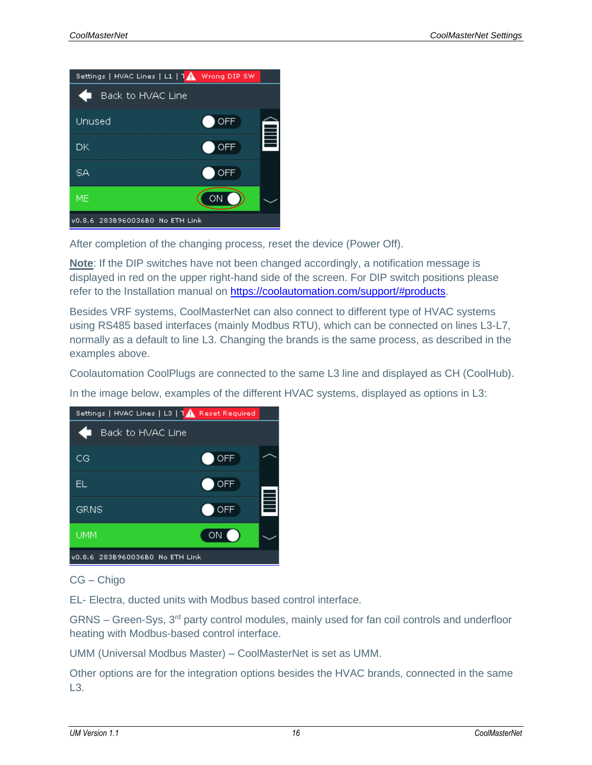

After completion of the changing process, reset the device (Power Off).

**Note**: If the DIP switches have not been changed accordingly, a notification message is displayed in red on the upper right-hand side of the screen. For DIP switch positions please refer to the Installation manual on [https://coolautomation.com/support/#products.](https://coolautomation.com/support/%23products)

Besides VRF systems, CoolMasterNet can also connect to different type of HVAC systems using RS485 based interfaces (mainly Modbus RTU), which can be connected on lines L3-L7, normally as a default to line L3. Changing the brands is the same process, as described in the examples above.

Coolautomation CoolPlugs are connected to the same L3 line and displayed as CH (CoolHub).

In the image below, examples of the different HVAC systems, displayed as options in L3:



CG – Chigo

EL- Electra, ducted units with Modbus based control interface.

GRNS – Green-Sys, 3rd party control modules, mainly used for fan coil controls and underfloor heating with Modbus-based control interface.

UMM (Universal Modbus Master) – CoolMasterNet is set as UMM.

Other options are for the integration options besides the HVAC brands, connected in the same L3.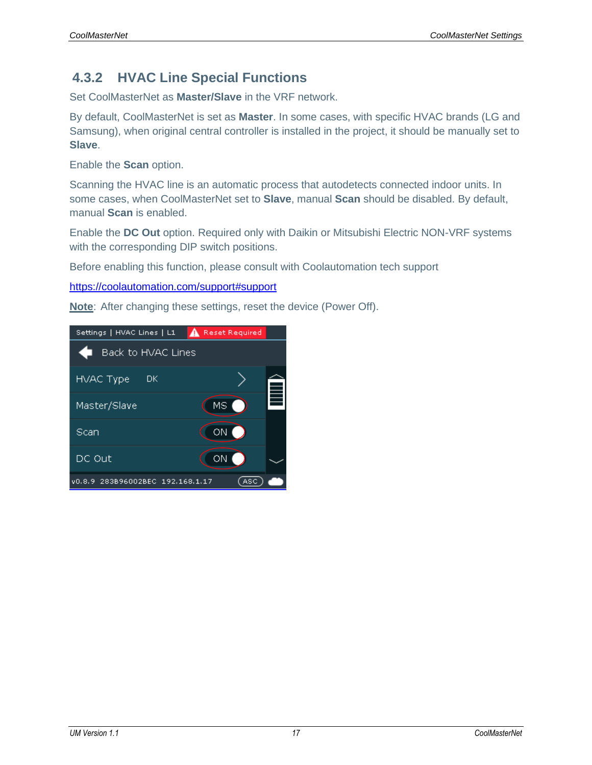#### <span id="page-19-0"></span>**4.3.2 HVAC Line Special Functions**

Set CoolMasterNet as **Master/Slave** in the VRF network.

By default, CoolMasterNet is set as **Master**. In some cases, with specific HVAC brands (LG and Samsung), when original central controller is installed in the project, it should be manually set to **Slave**.

Enable the **Scan** option.

Scanning the HVAC line is an automatic process that autodetects connected indoor units. In some cases, when CoolMasterNet set to **Slave**, manual **Scan** should be disabled. By default, manual **Scan** is enabled.

Enable the **DC Out** option. Required only with Daikin or Mitsubishi Electric NON-VRF systems with the corresponding DIP switch positions.

Before enabling this function, please consult with Coolautomation tech support

<https://coolautomation.com/support#support>

**Note**: After changing these settings, reset the device (Power Off).

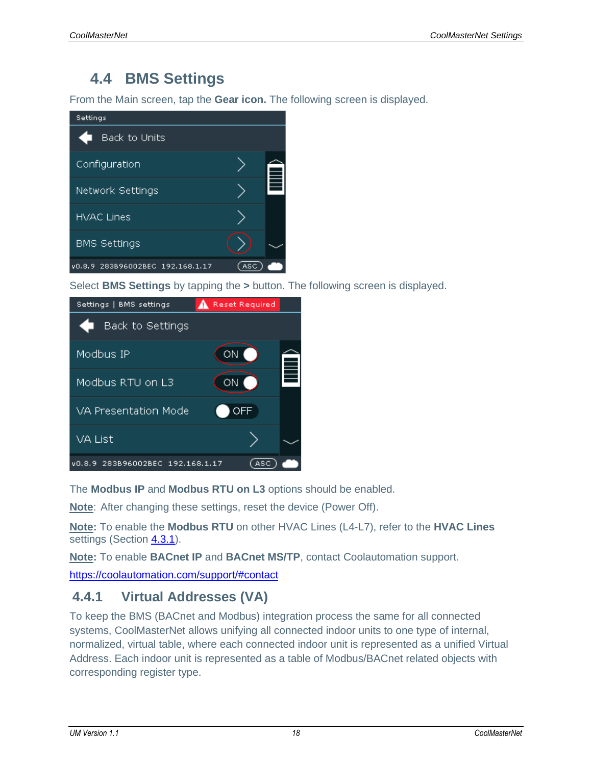### <span id="page-20-0"></span>**4.4 BMS Settings**

From the Main screen, tap the **Gear icon.** The following screen is displayed.



Select **BMS Settings** by tapping the **>** button. The following screen is displayed.



The **Modbus IP** and **Modbus RTU on L3** options should be enabled.

**Note**: After changing these settings, reset the device (Power Off).

**Note:** To enable the **Modbus RTU** on other HVAC Lines (L4-L7), refer to the **HVAC Lines** settings (Section 4.3.1).

**Note:** To enable **BACnet IP** and **BACnet MS/TP**, contact Coolautomation support.

<https://coolautomation.com/support/#contact>

#### <span id="page-20-1"></span>**4.4.1 Virtual Addresses (VA)**

To keep the BMS (BACnet and Modbus) integration process the same for all connected systems, CoolMasterNet allows unifying all connected indoor units to one type of internal, normalized, virtual table, where each connected indoor unit is represented as a unified Virtual Address. Each indoor unit is represented as a table of Modbus/BACnet related objects with corresponding register type.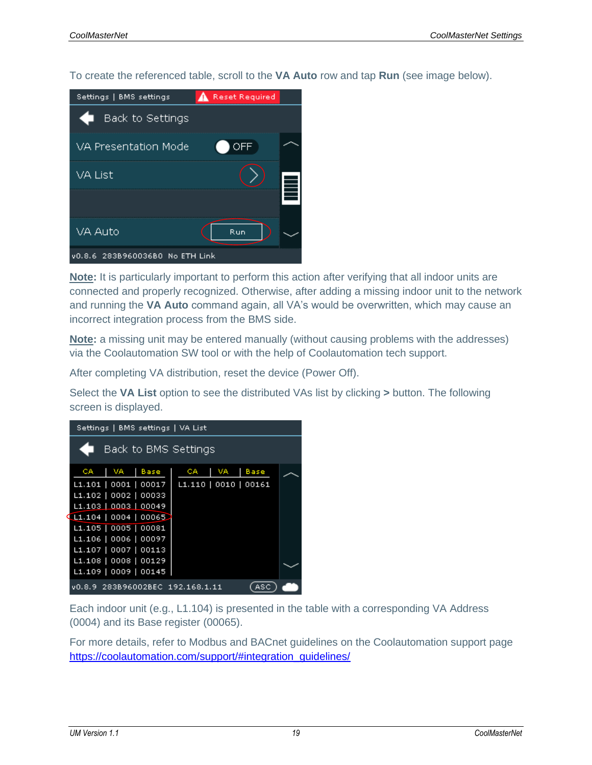To create the referenced table, scroll to the **VA Auto** row and tap **Run** (see image below).

| Settings   BMS settings         | Reset Required |    |
|---------------------------------|----------------|----|
| Back to Settings                |                |    |
| VA Presentation Mode            | OFF            |    |
| VA List                         |                | j, |
|                                 |                |    |
| VA Auto                         | Run            |    |
| v0.8.6 283B960036B0 No ETH Link |                |    |

**Note:** It is particularly important to perform this action after verifying that all indoor units are connected and properly recognized. Otherwise, after adding a missing indoor unit to the network and running the **VA Auto** command again, all VA's would be overwritten, which may cause an incorrect integration process from the BMS side.

**Note:** a missing unit may be entered manually (without causing problems with the addresses) via the Coolautomation SW tool or with the help of Coolautomation tech support.

After completing VA distribution, reset the device (Power Off).

Select the **VA List** option to see the distributed VAs list by clicking **>** button. The following screen is displayed.

| Settings   BMS settings   VA List |                           |  |  |
|-----------------------------------|---------------------------|--|--|
| Back to BMS Settings              |                           |  |  |
| CA.<br>I VA<br><b>Base</b>        | VA.<br><b>Base</b><br>CA. |  |  |
| L1.101   0001   00017             | L1.110   0010   00161     |  |  |
| L1.102   0002   00033             |                           |  |  |
| L1.103   0003   00049             |                           |  |  |
| LI.104   0004   00065             |                           |  |  |
| L1.105   0005   00081             |                           |  |  |
| L1.106   0006   00097             |                           |  |  |
| L1.107   0007   00113             |                           |  |  |
| L1.108   0008   00129             |                           |  |  |
| L1.109   0009   00145             |                           |  |  |
| v0.8.9 283B96002BEC 192.168.1.11  |                           |  |  |

Each indoor unit (e.g., L1.104) is presented in the table with a corresponding VA Address (0004) and its Base register (00065).

For more details, refer to Modbus and BACnet guidelines on the Coolautomation support page [https://coolautomation.com/support/#integration\\_guidelines/](https://coolautomation.com/support/#integration_guidelines)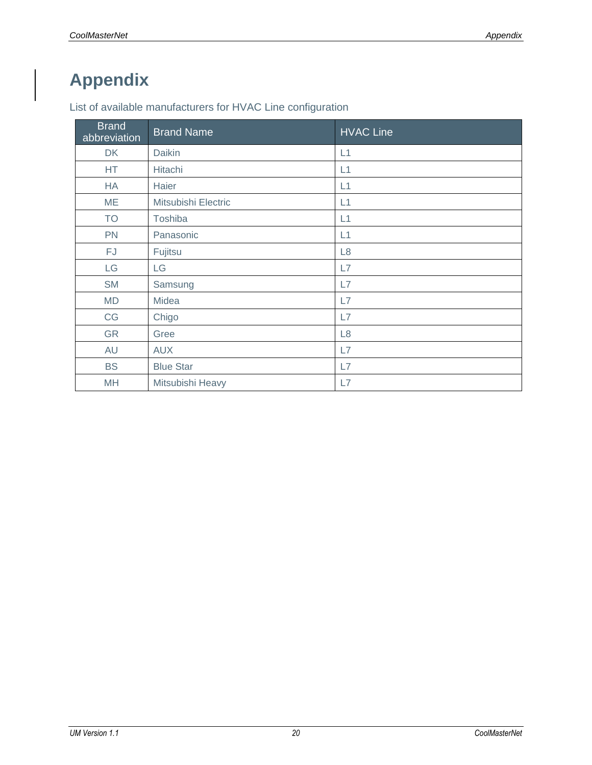## <span id="page-22-0"></span>**Appendix**

List of available manufacturers for HVAC Line configuration

| <b>Brand</b><br>abbreviation | <b>Brand Name</b>   | <b>HVAC Line</b> |
|------------------------------|---------------------|------------------|
| <b>DK</b>                    | Daikin              | L1               |
| <b>HT</b>                    | Hitachi             | L1               |
| <b>HA</b>                    | Haier               | L1               |
| <b>ME</b>                    | Mitsubishi Electric | L1               |
| <b>TO</b>                    | Toshiba             | L1               |
| <b>PN</b>                    | Panasonic           | L1               |
| FJ                           | Fujitsu             | L8               |
| LG                           | LG                  | L7               |
| <b>SM</b>                    | Samsung             | L7               |
| <b>MD</b>                    | Midea               | L7               |
| CG                           | Chigo               | L7               |
| <b>GR</b>                    | Gree                | L <sub>8</sub>   |
| AU                           | <b>AUX</b>          | L7               |
| <b>BS</b>                    | <b>Blue Star</b>    | L7               |
| MH                           | Mitsubishi Heavy    | L7               |